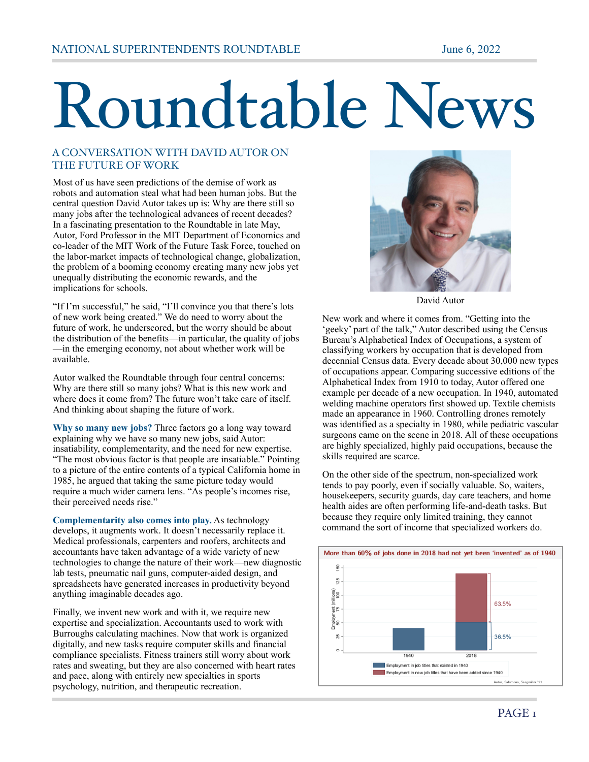## Roundtable News

## A CONVERSATION WITH DAVID AUTOR ON THE FUTURE OF WORK

Most of us have seen predictions of the demise of work as robots and automation steal what had been human jobs. But the central question David Autor takes up is: Why are there still so many jobs after the technological advances of recent decades? In a fascinating presentation to the Roundtable in late May, Autor, Ford Professor in the MIT Department of Economics and co-leader of the MIT Work of the Future Task Force, touched on the labor-market impacts of technological change, globalization, the problem of a booming economy creating many new jobs yet unequally distributing the economic rewards, and the implications for schools.

"If I'm successful," he said, "I'll convince you that there's lots of new work being created." We do need to worry about the future of work, he underscored, but the worry should be about the distribution of the benefits—in particular, the quality of jobs —in the emerging economy, not about whether work will be available.

Autor walked the Roundtable through four central concerns: Why are there still so many jobs? What is this new work and where does it come from? The future won't take care of itself. And thinking about shaping the future of work.

**Why so many new jobs?** Three factors go a long way toward explaining why we have so many new jobs, said Autor: insatiability, complementarity, and the need for new expertise. "The most obvious factor is that people are insatiable." Pointing to a picture of the entire contents of a typical California home in 1985, he argued that taking the same picture today would require a much wider camera lens. "As people's incomes rise, their perceived needs rise."

**Complementarity also comes into play.** As technology develops, it augments work. It doesn't necessarily replace it. Medical professionals, carpenters and roofers, architects and accountants have taken advantage of a wide variety of new technologies to change the nature of their work—new diagnostic lab tests, pneumatic nail guns, computer-aided design, and spreadsheets have generated increases in productivity beyond anything imaginable decades ago.

Finally, we invent new work and with it, we require new expertise and specialization. Accountants used to work with Burroughs calculating machines. Now that work is organized digitally, and new tasks require computer skills and financial compliance specialists. Fitness trainers still worry about work rates and sweating, but they are also concerned with heart rates and pace, along with entirely new specialties in sports psychology, nutrition, and therapeutic recreation.



David Autor

New work and where it comes from. "Getting into the 'geeky' part of the talk," Autor described using the Census Bureau's Alphabetical Index of Occupations, a system of classifying workers by occupation that is developed from decennial Census data. Every decade about 30,000 new types of occupations appear. Comparing successive editions of the Alphabetical Index from 1910 to today, Autor offered one example per decade of a new occupation. In 1940, automated welding machine operators first showed up. Textile chemists made an appearance in 1960. Controlling drones remotely was identified as a specialty in 1980, while pediatric vascular surgeons came on the scene in 2018. All of these occupations are highly specialized, highly paid occupations, because the skills required are scarce.

On the other side of the spectrum, non-specialized work tends to pay poorly, even if socially valuable. So, waiters, housekeepers, security guards, day care teachers, and home health aides are often performing life-and-death tasks. But because they require only limited training, they cannot command the sort of income that specialized workers do.